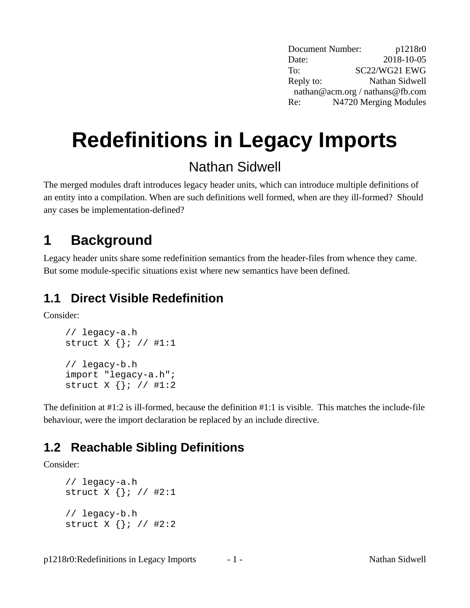Document Number: p1218r0 Date: 2018-10-05 To: SC22/WG21 EWG Reply to: Nathan Sidwell nathan@acm.org / nathans@fb.com Re: N4720 Merging Modules

# **Redefinitions in Legacy Imports**

## Nathan Sidwell

The merged modules draft introduces legacy header units, which can introduce multiple definitions of an entity into a compilation. When are such definitions well formed, when are they ill-formed? Should any cases be implementation-defined?

# **1 Background**

Legacy header units share some redefinition semantics from the header-files from whence they came. But some module-specific situations exist where new semantics have been defined.

#### <span id="page-0-0"></span>**1.1 Direct Visible Redefinition**

Consider:

// legacy-a.h struct X {}; // #1:1 // legacy-b.h import "legacy-a.h"; struct X {}; // #1:2

The definition at #1:2 is ill-formed, because the definition #1:1 is visible. This matches the include-file behaviour, were the import declaration be replaced by an include directive.

## <span id="page-0-1"></span>**1.2 Reachable Sibling Definitions**

Consider:

```
// legacy-a.h
struct X {}; // #2:1
// legacy-b.h
struct X {}; // #2:2
```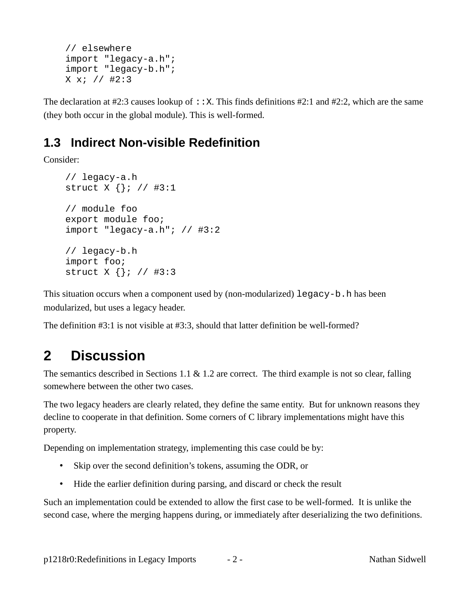```
// elsewhere
import "legacy-a.h";
import "legacy-b.h";
X x; // #2:3
```
The declaration at #2:3 causes lookup of :: X. This finds definitions #2:1 and #2:2, which are the same (they both occur in the global module). This is well-formed.

#### <span id="page-1-0"></span>**1.3 Indirect Non-visible Redefinition**

Consider:

// legacy-a.h struct X {}; // #3:1 // module foo export module foo; import "legacy-a.h"; // #3:2 // legacy-b.h import foo; struct X {}; // #3:3

This situation occurs when a component used by (non-modularized) legacy-b.h has been modularized, but uses a legacy header.

The definition #3:1 is not visible at #3:3, should that latter definition be well-formed?

# **2 Discussion**

The semantics described in Sections [1.1](#page-0-0) & [1.2](#page-0-1) are correct. The third example is not so clear, falling somewhere between the other two cases.

The two legacy headers are clearly related, they define the same entity. But for unknown reasons they decline to cooperate in that definition. Some corners of C library implementations might have this property.

Depending on implementation strategy, implementing this case could be by:

- Skip over the second definition's tokens, assuming the ODR, or
- Hide the earlier definition during parsing, and discard or check the result

Such an implementation could be extended to allow the first case to be well-formed. It is unlike the second case, where the merging happens during, or immediately after deserializing the two definitions.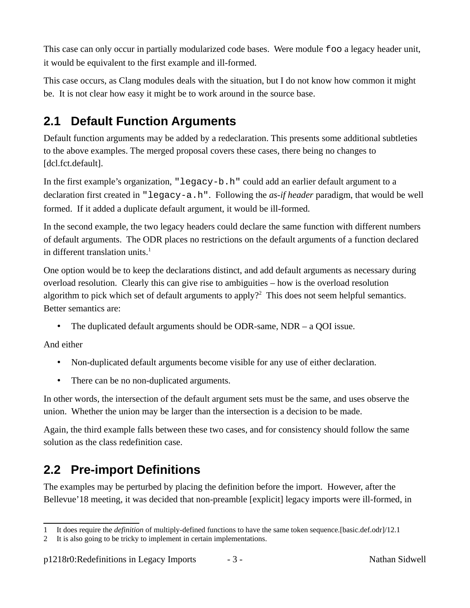This case can only occur in partially modularized code bases. Were module foo a legacy header unit, it would be equivalent to the first example and ill-formed.

This case occurs, as Clang modules deals with the situation, but I do not know how common it might be. It is not clear how easy it might be to work around in the source base.

#### **2.1 Default Function Arguments**

Default function arguments may be added by a redeclaration. This presents some additional subtleties to the above examples. The merged proposal covers these cases, there being no changes to [dcl.fct.default].

In the first example's organization, "legacy-b.h" could add an earlier default argument to a declaration first created in "legacy-a.h". Following the *as-if header* paradigm, that would be well formed. If it added a duplicate default argument, it would be ill-formed.

In the second example, the two legacy headers could declare the same function with different numbers of default arguments. The ODR places no restrictions on the default arguments of a function declared in different translation units. $1$ 

One option would be to keep the declarations distinct, and add default arguments as necessary during overload resolution. Clearly this can give rise to ambiguities – how is the overload resolution algorithm to pick which set of default arguments to apply?<sup>[2](#page-2-1)</sup> This does not seem helpful semantics. Better semantics are:

• The duplicated default arguments should be ODR-same, NDR – a QOI issue.

And either

- Non-duplicated default arguments become visible for any use of either declaration.
- There can be no non-duplicated arguments.

In other words, the intersection of the default argument sets must be the same, and uses observe the union. Whether the union may be larger than the intersection is a decision to be made.

Again, the third example falls between these two cases, and for consistency should follow the same solution as the class redefinition case.

## <span id="page-2-2"></span>**2.2 Pre-import Definitions**

The examples may be perturbed by placing the definition before the import. However, after the Bellevue'18 meeting, it was decided that non-preamble [explicit] legacy imports were ill-formed, in

<span id="page-2-0"></span><sup>1</sup> It does require the *definition* of multiply-defined functions to have the same token sequence.[basic.def.odr]/12.1

<span id="page-2-1"></span><sup>2</sup> It is also going to be tricky to implement in certain implementations.